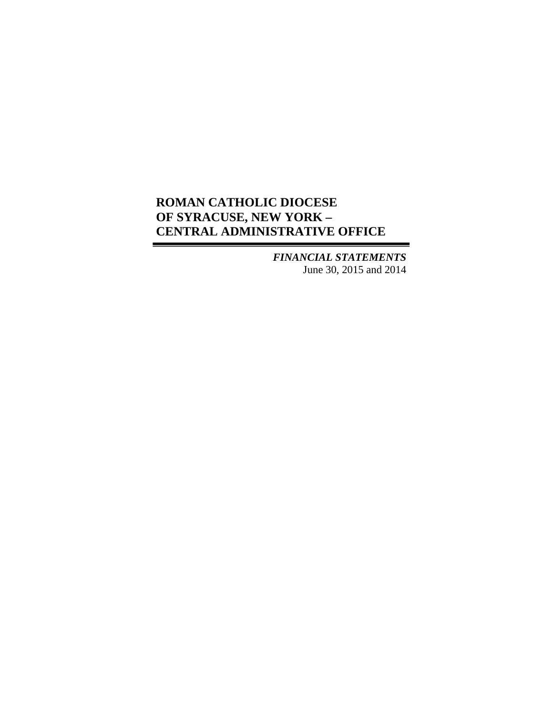*FINANCIAL STATEMENTS* June 30, 2015 and 2014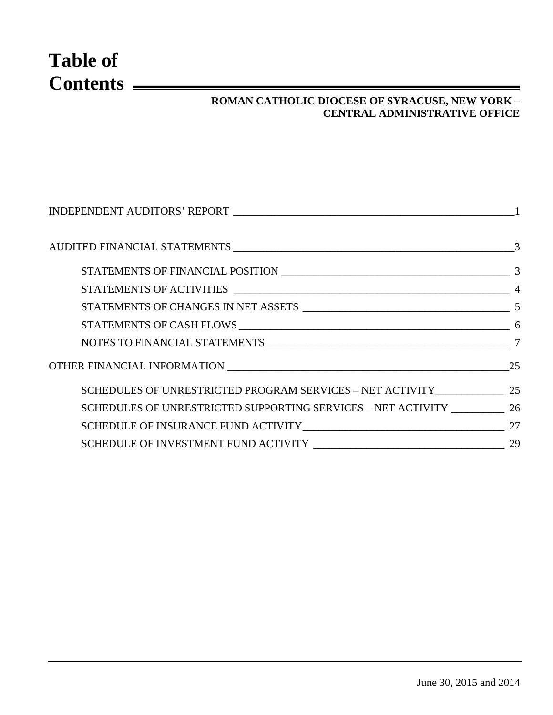# **Table of Contents**

## **ROMAN CATHOLIC DIOCESE OF SYRACUSE, NEW YORK – CENTRAL ADMINISTRATIVE OFFICE**

| NOTES TO FINANCIAL STATEMENTS 7 7                               |  |
|-----------------------------------------------------------------|--|
|                                                                 |  |
|                                                                 |  |
| SCHEDULES OF UNRESTRICTED SUPPORTING SERVICES - NET ACTIVITY 26 |  |
|                                                                 |  |
|                                                                 |  |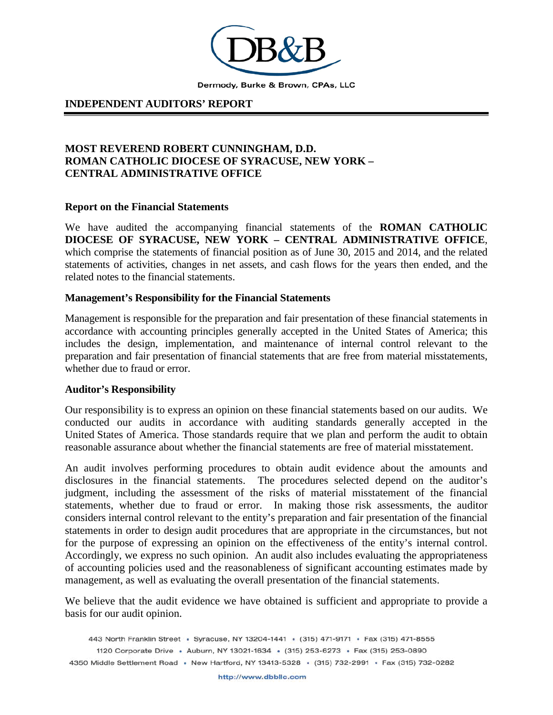

## **INDEPENDENT AUDITORS' REPORT**

## **MOST REVEREND ROBERT CUNNINGHAM, D.D. ROMAN CATHOLIC DIOCESE OF SYRACUSE, NEW YORK – CENTRAL ADMINISTRATIVE OFFICE**

#### **Report on the Financial Statements**

We have audited the accompanying financial statements of the **ROMAN CATHOLIC DIOCESE OF SYRACUSE, NEW YORK – CENTRAL ADMINISTRATIVE OFFICE**, which comprise the statements of financial position as of June 30, 2015 and 2014, and the related statements of activities, changes in net assets, and cash flows for the years then ended, and the related notes to the financial statements.

#### **Management's Responsibility for the Financial Statements**

Management is responsible for the preparation and fair presentation of these financial statements in accordance with accounting principles generally accepted in the United States of America; this includes the design, implementation, and maintenance of internal control relevant to the preparation and fair presentation of financial statements that are free from material misstatements, whether due to fraud or error.

#### **Auditor's Responsibility**

Our responsibility is to express an opinion on these financial statements based on our audits. We conducted our audits in accordance with auditing standards generally accepted in the United States of America. Those standards require that we plan and perform the audit to obtain reasonable assurance about whether the financial statements are free of material misstatement.

An audit involves performing procedures to obtain audit evidence about the amounts and disclosures in the financial statements. The procedures selected depend on the auditor's judgment, including the assessment of the risks of material misstatement of the financial statements, whether due to fraud or error. In making those risk assessments, the auditor considers internal control relevant to the entity's preparation and fair presentation of the financial statements in order to design audit procedures that are appropriate in the circumstances, but not for the purpose of expressing an opinion on the effectiveness of the entity's internal control. Accordingly, we express no such opinion. An audit also includes evaluating the appropriateness of accounting policies used and the reasonableness of significant accounting estimates made by management, as well as evaluating the overall presentation of the financial statements.

We believe that the audit evidence we have obtained is sufficient and appropriate to provide a basis for our audit opinion.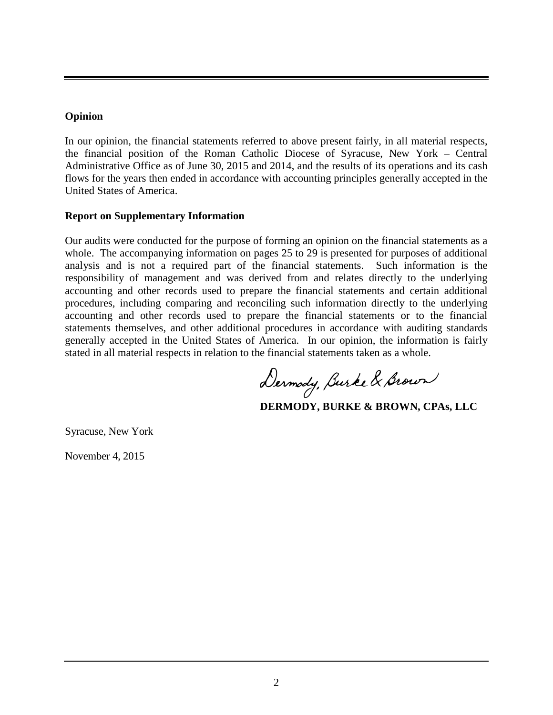## **Opinion**

In our opinion, the financial statements referred to above present fairly, in all material respects, the financial position of the Roman Catholic Diocese of Syracuse, New York – Central Administrative Office as of June 30, 2015 and 2014, and the results of its operations and its cash flows for the years then ended in accordance with accounting principles generally accepted in the United States of America.

#### **Report on Supplementary Information**

Our audits were conducted for the purpose of forming an opinion on the financial statements as a whole. The accompanying information on pages 25 to 29 is presented for purposes of additional analysis and is not a required part of the financial statements. Such information is the responsibility of management and was derived from and relates directly to the underlying accounting and other records used to prepare the financial statements and certain additional procedures, including comparing and reconciling such information directly to the underlying accounting and other records used to prepare the financial statements or to the financial statements themselves, and other additional procedures in accordance with auditing standards generally accepted in the United States of America. In our opinion, the information is fairly stated in all material respects in relation to the financial statement s taken as a whole.

Dermody, Burke & Brown

**DERMODY, BURKE & BROWN, CPAs, LLC**

Syracuse, New York

November 4, 2015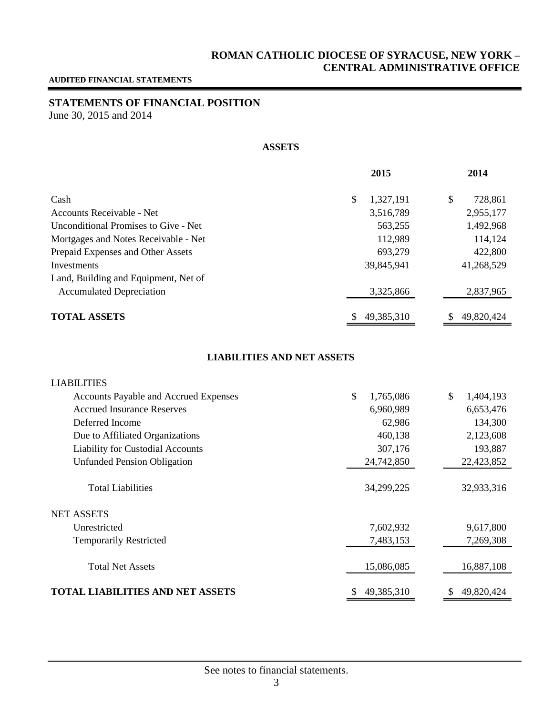#### **AUDITED FINANCIAL STATEMENTS**

## **STATEMENTS OF FINANCIAL POSITION**

June 30, 2015 and 2014

LIABILITIES

#### **ASSETS**

|                                             | 2015            | 2014          |
|---------------------------------------------|-----------------|---------------|
| Cash                                        | \$<br>1,327,191 | \$<br>728,861 |
| Accounts Receivable - Net                   | 3,516,789       | 2,955,177     |
| <b>Unconditional Promises to Give - Net</b> | 563,255         | 1,492,968     |
| Mortgages and Notes Receivable - Net        | 112,989         | 114,124       |
| Prepaid Expenses and Other Assets           | 693,279         | 422,800       |
| Investments                                 | 39,845,941      | 41,268,529    |
| Land, Building and Equipment, Net of        |                 |               |
| <b>Accumulated Depreciation</b>             | 3,325,866       | 2,837,965     |
| <b>TOTAL ASSETS</b>                         | 49,385,310      | 49,820,424    |

#### **LIABILITIES AND NET ASSETS**

| LIABILI HES                                  |                  |                 |
|----------------------------------------------|------------------|-----------------|
| <b>Accounts Payable and Accrued Expenses</b> | \$<br>1,765,086  | \$<br>1,404,193 |
| <b>Accrued Insurance Reserves</b>            | 6,960,989        | 6,653,476       |
| Deferred Income                              | 62,986           | 134,300         |
| Due to Affiliated Organizations              | 460,138          | 2,123,608       |
| <b>Liability for Custodial Accounts</b>      | 307,176          | 193,887         |
| <b>Unfunded Pension Obligation</b>           | 24,742,850       | 22,423,852      |
|                                              |                  |                 |
| <b>Total Liabilities</b>                     | 34,299,225       | 32,933,316      |
| <b>NET ASSETS</b>                            |                  |                 |
| Unrestricted                                 | 7,602,932        | 9,617,800       |
| <b>Temporarily Restricted</b>                | 7,483,153        | 7,269,308       |
|                                              |                  |                 |
| <b>Total Net Assets</b>                      | 15,086,085       | 16,887,108      |
|                                              |                  |                 |
| <b>TOTAL LIABILITIES AND NET ASSETS</b>      | 49,385,310<br>\$ | 49,820,424      |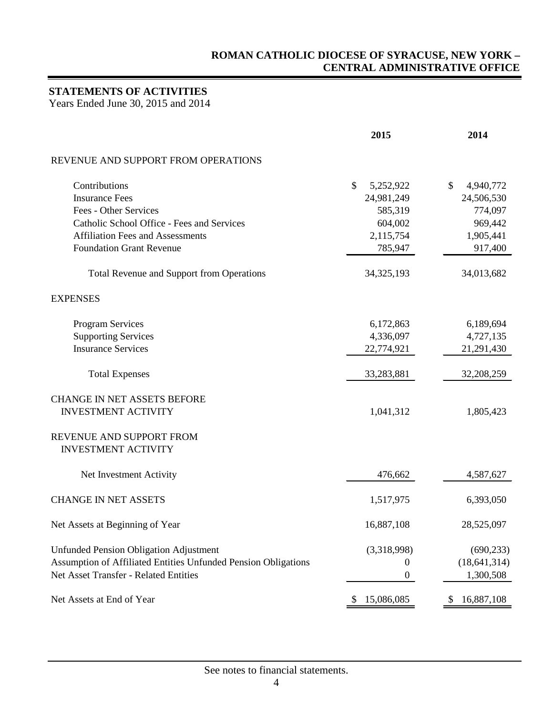## **STATEMENTS OF ACTIVITIES**

|                                                                | 2015             | 2014            |
|----------------------------------------------------------------|------------------|-----------------|
| REVENUE AND SUPPORT FROM OPERATIONS                            |                  |                 |
| Contributions                                                  | \$<br>5,252,922  | \$<br>4,940,772 |
| <b>Insurance Fees</b>                                          | 24,981,249       | 24,506,530      |
| Fees - Other Services                                          | 585,319          | 774,097         |
| Catholic School Office - Fees and Services                     | 604,002          | 969,442         |
| <b>Affiliation Fees and Assessments</b>                        | 2,115,754        | 1,905,441       |
| <b>Foundation Grant Revenue</b>                                | 785,947          | 917,400         |
| <b>Total Revenue and Support from Operations</b>               | 34, 325, 193     | 34,013,682      |
| <b>EXPENSES</b>                                                |                  |                 |
| <b>Program Services</b>                                        | 6,172,863        | 6,189,694       |
| <b>Supporting Services</b>                                     | 4,336,097        | 4,727,135       |
| <b>Insurance Services</b>                                      | 22,774,921       | 21,291,430      |
| <b>Total Expenses</b>                                          | 33,283,881       | 32,208,259      |
| <b>CHANGE IN NET ASSETS BEFORE</b>                             |                  |                 |
| <b>INVESTMENT ACTIVITY</b>                                     | 1,041,312        | 1,805,423       |
| REVENUE AND SUPPORT FROM                                       |                  |                 |
| <b>INVESTMENT ACTIVITY</b>                                     |                  |                 |
| Net Investment Activity                                        | 476,662          | 4,587,627       |
| <b>CHANGE IN NET ASSETS</b>                                    | 1,517,975        | 6,393,050       |
| Net Assets at Beginning of Year                                | 16,887,108       | 28,525,097      |
| <b>Unfunded Pension Obligation Adjustment</b>                  | (3,318,998)      | (690, 233)      |
| Assumption of Affiliated Entities Unfunded Pension Obligations | $\boldsymbol{0}$ | (18, 641, 314)  |
| <b>Net Asset Transfer - Related Entities</b>                   | $\boldsymbol{0}$ | 1,300,508       |
| Net Assets at End of Year                                      | 15,086,085       | 16,887,108      |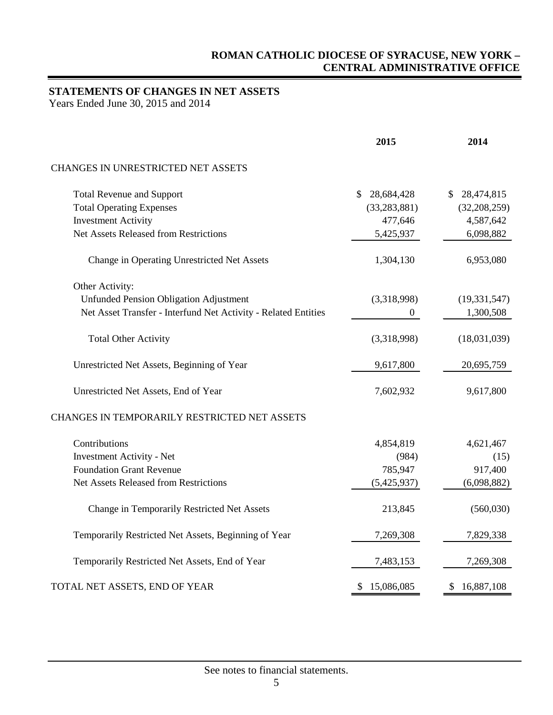## **STATEMENTS OF CHANGES IN NET ASSETS**

|                                                                | 2015             | 2014             |
|----------------------------------------------------------------|------------------|------------------|
| CHANGES IN UNRESTRICTED NET ASSETS                             |                  |                  |
| <b>Total Revenue and Support</b>                               | 28,684,428<br>S  | 28,474,815<br>S. |
| <b>Total Operating Expenses</b>                                | (33, 283, 881)   | (32, 208, 259)   |
| <b>Investment Activity</b>                                     | 477,646          | 4,587,642        |
| Net Assets Released from Restrictions                          | 5,425,937        | 6,098,882        |
| Change in Operating Unrestricted Net Assets                    | 1,304,130        | 6,953,080        |
| Other Activity:                                                |                  |                  |
| <b>Unfunded Pension Obligation Adjustment</b>                  | (3,318,998)      | (19, 331, 547)   |
| Net Asset Transfer - Interfund Net Activity - Related Entities | $\boldsymbol{0}$ | 1,300,508        |
| <b>Total Other Activity</b>                                    | (3,318,998)      | (18,031,039)     |
| Unrestricted Net Assets, Beginning of Year                     | 9,617,800        | 20,695,759       |
| Unrestricted Net Assets, End of Year                           | 7,602,932        | 9,617,800        |
| CHANGES IN TEMPORARILY RESTRICTED NET ASSETS                   |                  |                  |
| Contributions                                                  | 4,854,819        | 4,621,467        |
| <b>Investment Activity - Net</b>                               | (984)            | (15)             |
| <b>Foundation Grant Revenue</b>                                | 785,947          | 917,400          |
| Net Assets Released from Restrictions                          | (5,425,937)      | (6,098,882)      |
| Change in Temporarily Restricted Net Assets                    | 213,845          | (560,030)        |
| Temporarily Restricted Net Assets, Beginning of Year           | 7,269,308        | 7,829,338        |
| Temporarily Restricted Net Assets, End of Year                 | 7,483,153        | 7,269,308        |
| TOTAL NET ASSETS, END OF YEAR                                  | 15,086,085<br>\$ | 16,887,108<br>\$ |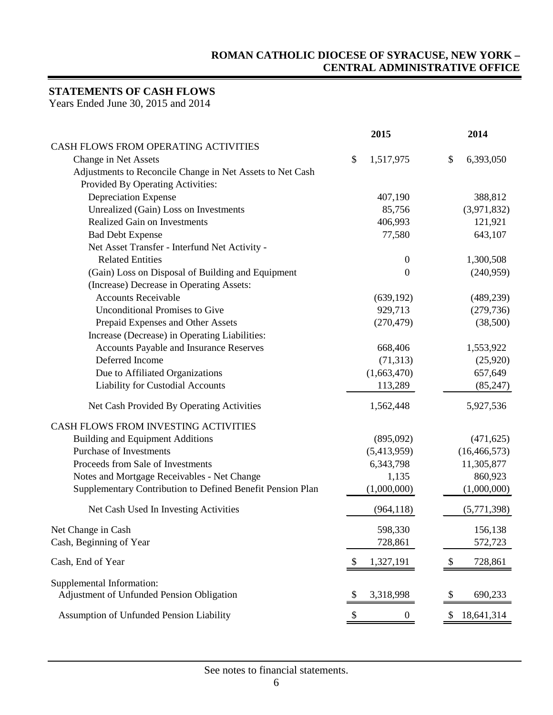## **STATEMENTS OF CASH FLOWS**

|                                                            | 2015             |    | 2014           |
|------------------------------------------------------------|------------------|----|----------------|
| CASH FLOWS FROM OPERATING ACTIVITIES                       |                  |    |                |
| Change in Net Assets                                       | \$<br>1,517,975  | \$ | 6,393,050      |
| Adjustments to Reconcile Change in Net Assets to Net Cash  |                  |    |                |
| Provided By Operating Activities:                          |                  |    |                |
| Depreciation Expense                                       | 407,190          |    | 388,812        |
| Unrealized (Gain) Loss on Investments                      | 85,756           |    | (3,971,832)    |
| <b>Realized Gain on Investments</b>                        | 406,993          |    | 121,921        |
| <b>Bad Debt Expense</b>                                    | 77,580           |    | 643,107        |
| Net Asset Transfer - Interfund Net Activity -              |                  |    |                |
| <b>Related Entities</b>                                    | $\boldsymbol{0}$ |    | 1,300,508      |
| (Gain) Loss on Disposal of Building and Equipment          | $\boldsymbol{0}$ |    | (240,959)      |
| (Increase) Decrease in Operating Assets:                   |                  |    |                |
| <b>Accounts Receivable</b>                                 | (639, 192)       |    | (489, 239)     |
| <b>Unconditional Promises to Give</b>                      | 929,713          |    | (279, 736)     |
| Prepaid Expenses and Other Assets                          | (270, 479)       |    | (38,500)       |
| Increase (Decrease) in Operating Liabilities:              |                  |    |                |
| Accounts Payable and Insurance Reserves                    | 668,406          |    | 1,553,922      |
| Deferred Income                                            | (71, 313)        |    | (25,920)       |
| Due to Affiliated Organizations                            | (1,663,470)      |    | 657,649        |
| Liability for Custodial Accounts                           | 113,289          |    | (85, 247)      |
| Net Cash Provided By Operating Activities                  | 1,562,448        |    | 5,927,536      |
| CASH FLOWS FROM INVESTING ACTIVITIES                       |                  |    |                |
| <b>Building and Equipment Additions</b>                    | (895,092)        |    | (471, 625)     |
| Purchase of Investments                                    | (5,413,959)      |    | (16, 466, 573) |
| Proceeds from Sale of Investments                          | 6,343,798        |    | 11,305,877     |
| Notes and Mortgage Receivables - Net Change                | 1,135            |    | 860,923        |
| Supplementary Contribution to Defined Benefit Pension Plan | (1,000,000)      |    | (1,000,000)    |
| Net Cash Used In Investing Activities                      | (964, 118)       |    | (5,771,398)    |
| Net Change in Cash                                         | 598,330          |    | 156,138        |
| Cash, Beginning of Year                                    | 728,861          |    | 572,723        |
| Cash, End of Year                                          | \$<br>1,327,191  |    | 728,861        |
| Supplemental Information:                                  |                  |    |                |
| Adjustment of Unfunded Pension Obligation                  | \$<br>3,318,998  | S  | 690,233        |
| Assumption of Unfunded Pension Liability                   | $\boldsymbol{0}$ | \$ | 18,641,314     |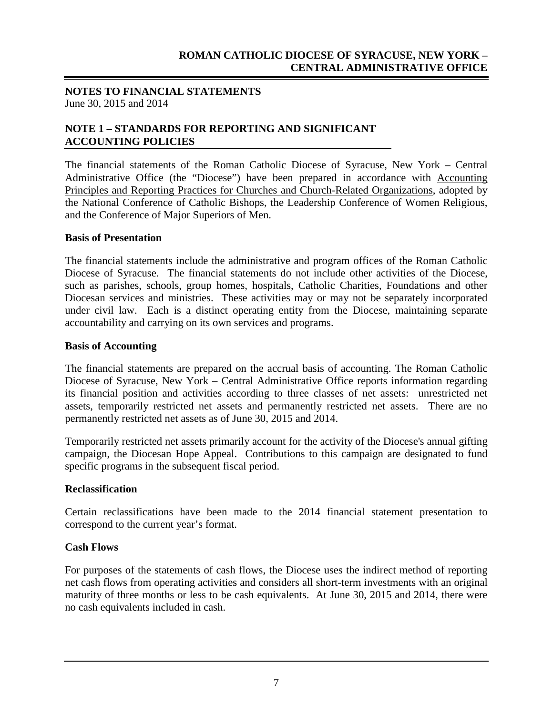### **NOTES TO FINANCIAL STATEMENTS** June 30, 2015 and 2014

## **NOTE 1 – STANDARDS FOR REPORTING AND SIGNIFICANT ACCOUNTING POLICIES**

The financial statements of the Roman Catholic Diocese of Syracuse, New York – Central Administrative Office (the "Diocese") have been prepared in accordance with Accounting Principles and Reporting Practices for Churches and Church-Related Organizations, adopted by the National Conference of Catholic Bishops, the Leadership Conference of Women Religious, and the Conference of Major Superiors of Men.

## **Basis of Presentation**

The financial statements include the administrative and program offices of the Roman Catholic Diocese of Syracuse. The financial statements do not include other activities of the Diocese, such as parishes, schools, group homes, hospitals, Catholic Charities, Foundations and other Diocesan services and ministries. These activities may or may not be separately incorporated under civil law. Each is a distinct operating entity from the Diocese, maintaining separate accountability and carrying on its own services and programs.

## **Basis of Accounting**

The financial statements are prepared on the accrual basis of accounting. The Roman Catholic Diocese of Syracuse, New York – Central Administrative Office reports information regarding its financial position and activities according to three classes of net assets: unrestricted net assets, temporarily restricted net assets and permanently restricted net assets. There are no permanently restricted net assets as of June 30, 2015 and 2014.

Temporarily restricted net assets primarily account for the activity of the Diocese's annual gifting campaign, the Diocesan Hope Appeal. Contributions to this campaign are designated to fund specific programs in the subsequent fiscal period.

## **Reclassification**

Certain reclassifications have been made to the 2014 financial statement presentation to correspond to the current year's format.

## **Cash Flows**

For purposes of the statements of cash flows, the Diocese uses the indirect method of reporting net cash flows from operating activities and considers all short-term investments with an original maturity of three months or less to be cash equivalents. At June 30, 2015 and 2014, there were no cash equivalents included in cash.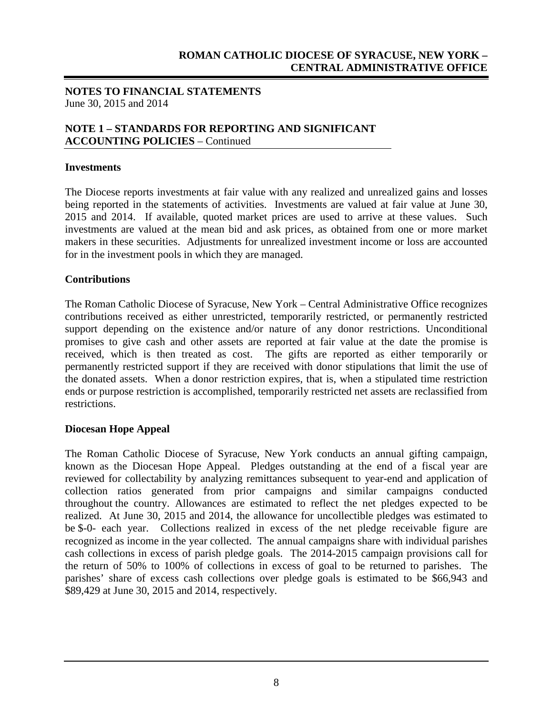#### **NOTES TO FINANCIAL STATEMENTS** June 30, 2015 and 2014

## **NOTE 1 – STANDARDS FOR REPORTING AND SIGNIFICANT ACCOUNTING POLICIES** – Continued

#### **Investments**

The Diocese reports investments at fair value with any realized and unrealized gains and losses being reported in the statements of activities. Investments are valued at fair value at June 30, 2015 and 2014. If available, quoted market prices are used to arrive at these values. Such investments are valued at the mean bid and ask prices, as obtained from one or more market makers in these securities. Adjustments for unrealized investment income or loss are accounted for in the investment pools in which they are managed.

#### **Contributions**

The Roman Catholic Diocese of Syracuse, New York – Central Administrative Office recognizes contributions received as either unrestricted, temporarily restricted, or permanently restricted support depending on the existence and/or nature of any donor restrictions. Unconditional promises to give cash and other assets are reported at fair value at the date the promise is received, which is then treated as cost. The gifts are reported as either temporarily or permanently restricted support if they are received with donor stipulations that limit the use of the donated assets. When a donor restriction expires, that is, when a stipulated time restriction ends or purpose restriction is accomplished, temporarily restricted net assets are reclassified from restrictions.

#### **Diocesan Hope Appeal**

The Roman Catholic Diocese of Syracuse, New York conducts an annual gifting campaign, known as the Diocesan Hope Appeal. Pledges outstanding at the end of a fiscal year are reviewed for collectability by analyzing remittances subsequent to year-end and application of collection ratios generated from prior campaigns and similar campaigns conducted throughout the country. Allowances are estimated to reflect the net pledges expected to be realized. At June 30, 2015 and 2014, the allowance for uncollectible pledges was estimated to be \$-0- each year. Collections realized in excess of the net pledge receivable figure are recognized as income in the year collected. The annual campaigns share with individual parishes cash collections in excess of parish pledge goals. The 2014-2015 campaign provisions call for the return of 50% to 100% of collections in excess of goal to be returned to parishes. The parishes' share of excess cash collections over pledge goals is estimated to be \$66,943 and \$89,429 at June 30, 2015 and 2014, respectively.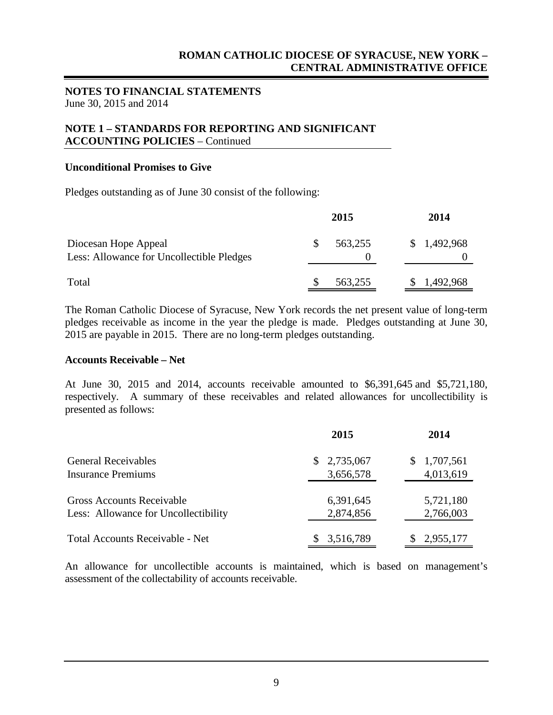#### **NOTES TO FINANCIAL STATEMENTS** June 30, 2015 and 2014

## **NOTE 1 – STANDARDS FOR REPORTING AND SIGNIFICANT ACCOUNTING POLICIES** – Continued

#### **Unconditional Promises to Give**

Pledges outstanding as of June 30 consist of the following:

|                                                                   | 2015    | 2014        |
|-------------------------------------------------------------------|---------|-------------|
| Diocesan Hope Appeal<br>Less: Allowance for Uncollectible Pledges | 563,255 | \$1,492,968 |
| Total                                                             | 563,255 | 1,492,968   |

The Roman Catholic Diocese of Syracuse, New York records the net present value of long-term pledges receivable as income in the year the pledge is made. Pledges outstanding at June 30, 2015 are payable in 2015. There are no long-term pledges outstanding.

#### **Accounts Receivable – Net**

At June 30, 2015 and 2014, accounts receivable amounted to \$6,391,645 and \$5,721,180, respectively. A summary of these receivables and related allowances for uncollectibility is presented as follows:

|                                        | 2015        | 2014            |
|----------------------------------------|-------------|-----------------|
| <b>General Receivables</b>             | \$2,735,067 | 1,707,561<br>S. |
| <b>Insurance Premiums</b>              | 3,656,578   | 4,013,619       |
|                                        |             |                 |
| <b>Gross Accounts Receivable</b>       | 6,391,645   | 5,721,180       |
| Less: Allowance for Uncollectibility   | 2,874,856   | 2,766,003       |
|                                        |             |                 |
| <b>Total Accounts Receivable - Net</b> | 3,516,789   | 2,955,177<br>S  |

An allowance for uncollectible accounts is maintained, which is based on management's assessment of the collectability of accounts receivable.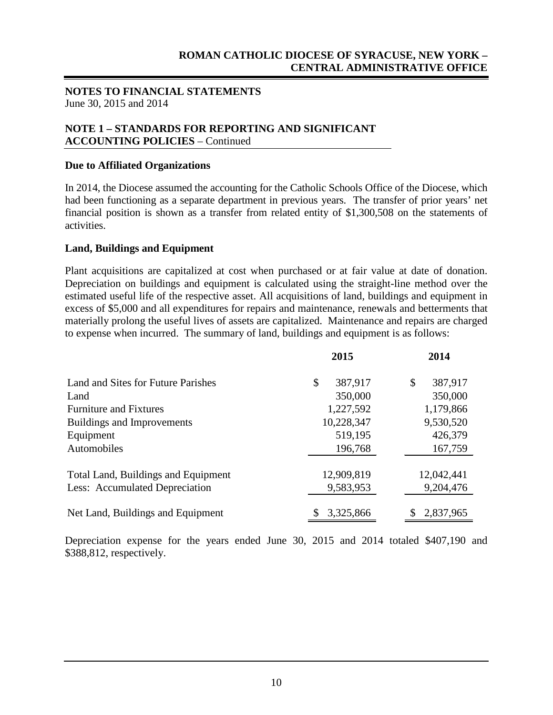#### **NOTES TO FINANCIAL STATEMENTS** June 30, 2015 and 2014

## **NOTE 1 – STANDARDS FOR REPORTING AND SIGNIFICANT ACCOUNTING POLICIES** – Continued

#### **Due to Affiliated Organizations**

In 2014, the Diocese assumed the accounting for the Catholic Schools Office of the Diocese, which had been functioning as a separate department in previous years. The transfer of prior years' net financial position is shown as a transfer from related entity of \$1,300,508 on the statements of activities.

#### **Land, Buildings and Equipment**

Plant acquisitions are capitalized at cost when purchased or at fair value at date of donation. Depreciation on buildings and equipment is calculated using the straight-line method over the estimated useful life of the respective asset. All acquisitions of land, buildings and equipment in excess of \$5,000 and all expenditures for repairs and maintenance, renewals and betterments that materially prolong the useful lives of assets are capitalized. Maintenance and repairs are charged to expense when incurred. The summary of land, buildings and equipment is as follows:

|                                     | 2015          | 2014          |
|-------------------------------------|---------------|---------------|
| Land and Sites for Future Parishes  | \$<br>387,917 | \$<br>387,917 |
| Land                                | 350,000       | 350,000       |
| <b>Furniture and Fixtures</b>       | 1,227,592     | 1,179,866     |
| Buildings and Improvements          | 10,228,347    | 9,530,520     |
| Equipment                           | 519,195       | 426,379       |
| Automobiles                         | 196,768       | 167,759       |
| Total Land, Buildings and Equipment | 12,909,819    | 12,042,441    |
| Less: Accumulated Depreciation      | 9,583,953     | 9,204,476     |
| Net Land, Buildings and Equipment   | 3,325,866     | 2,837,965     |

Depreciation expense for the years ended June 30, 2015 and 2014 totaled \$407,190 and \$388,812, respectively.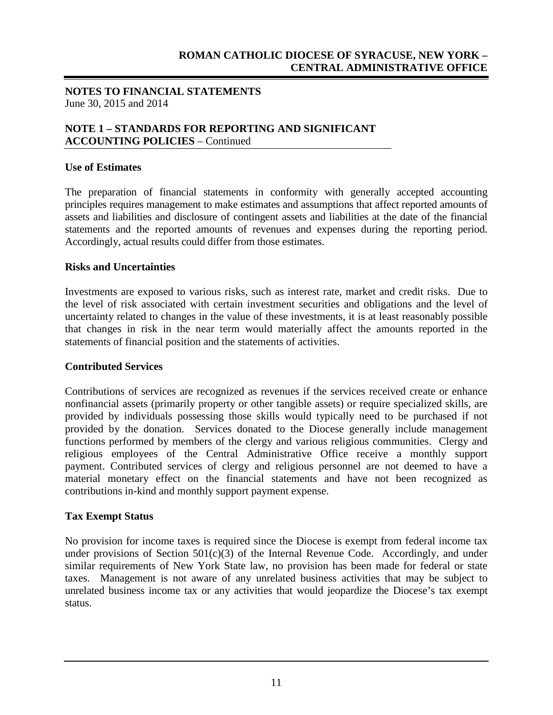#### **NOTES TO FINANCIAL STATEMENTS** June 30, 2015 and 2014

## **NOTE 1 – STANDARDS FOR REPORTING AND SIGNIFICANT ACCOUNTING POLICIES** – Continued

#### **Use of Estimates**

The preparation of financial statements in conformity with generally accepted accounting principles requires management to make estimates and assumptions that affect reported amounts of assets and liabilities and disclosure of contingent assets and liabilities at the date of the financial statements and the reported amounts of revenues and expenses during the reporting period. Accordingly, actual results could differ from those estimates.

#### **Risks and Uncertainties**

Investments are exposed to various risks, such as interest rate, market and credit risks. Due to the level of risk associated with certain investment securities and obligations and the level of uncertainty related to changes in the value of these investments, it is at least reasonably possible that changes in risk in the near term would materially affect the amounts reported in the statements of financial position and the statements of activities.

#### **Contributed Services**

Contributions of services are recognized as revenues if the services received create or enhance nonfinancial assets (primarily property or other tangible assets) or require specialized skills, are provided by individuals possessing those skills would typically need to be purchased if not provided by the donation. Services donated to the Diocese generally include management functions performed by members of the clergy and various religious communities. Clergy and religious employees of the Central Administrative Office receive a monthly support payment. Contributed services of clergy and religious personnel are not deemed to have a material monetary effect on the financial statements and have not been recognized as contributions in-kind and monthly support payment expense.

#### **Tax Exempt Status**

No provision for income taxes is required since the Diocese is exempt from federal income tax under provisions of Section  $501(c)(3)$  of the Internal Revenue Code. Accordingly, and under similar requirements of New York State law, no provision has been made for federal or state taxes. Management is not aware of any unrelated business activities that may be subject to unrelated business income tax or any activities that would jeopardize the Diocese's tax exempt status.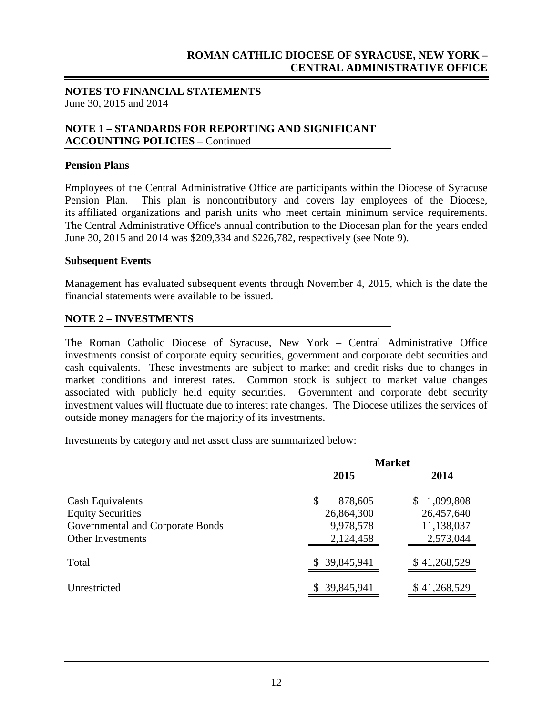#### **NOTES TO FINANCIAL STATEMENTS** June 30, 2015 and 2014

## **NOTE 1 – STANDARDS FOR REPORTING AND SIGNIFICANT ACCOUNTING POLICIES** – Continued

#### **Pension Plans**

Employees of the Central Administrative Office are participants within the Diocese of Syracuse Pension Plan. This plan is noncontributory and covers lay employees of the Diocese, its affiliated organizations and parish units who meet certain minimum service requirements. The Central Administrative Office's annual contribution to the Diocesan plan for the years ended June 30, 2015 and 2014 was \$209,334 and \$226,782, respectively (see Note 9).

#### **Subsequent Events**

Management has evaluated subsequent events through November 4, 2015, which is the date the financial statements were available to be issued.

#### **NOTE 2 – INVESTMENTS**

The Roman Catholic Diocese of Syracuse, New York – Central Administrative Office investments consist of corporate equity securities, government and corporate debt securities and cash equivalents. These investments are subject to market and credit risks due to changes in market conditions and interest rates. Common stock is subject to market value changes associated with publicly held equity securities. Government and corporate debt security investment values will fluctuate due to interest rate changes. The Diocese utilizes the services of outside money managers for the majority of its investments.

Investments by category and net asset class are summarized below:

|                                  | <b>Market</b> |                  |  |
|----------------------------------|---------------|------------------|--|
|                                  | 2015          | 2014             |  |
| Cash Equivalents                 | \$<br>878,605 | 1,099,808<br>\$. |  |
| <b>Equity Securities</b>         | 26,864,300    | 26,457,640       |  |
| Governmental and Corporate Bonds | 9,978,578     | 11,138,037       |  |
| Other Investments                | 2,124,458     | 2,573,044        |  |
| Total                            | \$39,845,941  | \$41,268,529     |  |
| Unrestricted                     | \$39,845,941  | \$41,268,529     |  |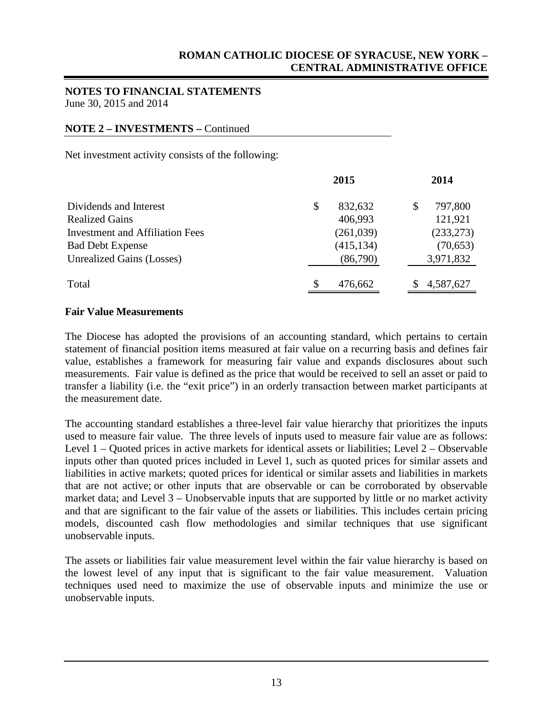## **NOTES TO FINANCIAL STATEMENTS**

June 30, 2015 and 2014

## **NOTE 2 – INVESTMENTS –** Continued

Net investment activity consists of the following:

|                                        | 2015          | 2014          |
|----------------------------------------|---------------|---------------|
| Dividends and Interest                 | 832,632<br>\$ | 797,800<br>\$ |
| <b>Realized Gains</b>                  | 406,993       | 121,921       |
| <b>Investment and Affiliation Fees</b> | (261,039)     | (233, 273)    |
| <b>Bad Debt Expense</b>                | (415, 134)    | (70, 653)     |
| <b>Unrealized Gains (Losses)</b>       | (86,790)      | 3,971,832     |
| Total                                  | 476,662       | 4,587,627     |

## **Fair Value Measurements**

The Diocese has adopted the provisions of an accounting standard, which pertains to certain statement of financial position items measured at fair value on a recurring basis and defines fair value, establishes a framework for measuring fair value and expands disclosures about such measurements. Fair value is defined as the price that would be received to sell an asset or paid to transfer a liability (i.e. the "exit price") in an orderly transaction between market participants at the measurement date.

The accounting standard establishes a three-level fair value hierarchy that prioritizes the inputs used to measure fair value. The three levels of inputs used to measure fair value are as follows: Level 1 – Quoted prices in active markets for identical assets or liabilities; Level 2 – Observable inputs other than quoted prices included in Level 1, such as quoted prices for similar assets and liabilities in active markets; quoted prices for identical or similar assets and liabilities in markets that are not active; or other inputs that are observable or can be corroborated by observable market data; and Level 3 – Unobservable inputs that are supported by little or no market activity and that are significant to the fair value of the assets or liabilities. This includes certain pricing models, discounted cash flow methodologies and similar techniques that use significant unobservable inputs.

The assets or liabilities fair value measurement level within the fair value hierarchy is based on the lowest level of any input that is significant to the fair value measurement. Valuation techniques used need to maximize the use of observable inputs and minimize the use or unobservable inputs.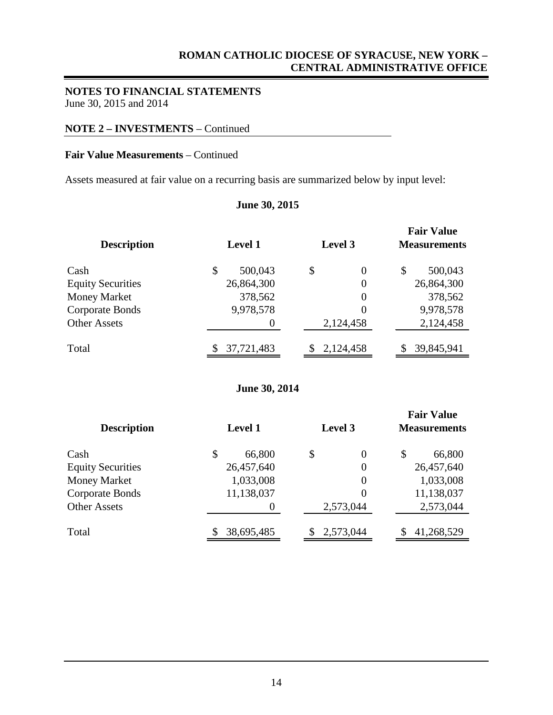## **NOTES TO FINANCIAL STATEMENTS**

June 30, 2015 and 2014

## **NOTE 2 – INVESTMENTS** – Continued

### **Fair Value Measurements** – Continued

Assets measured at fair value on a recurring basis are summarized below by input level:

| <b>Description</b>       | <b>Level 1</b> | Level 3          | <b>Fair Value</b><br><b>Measurements</b> |
|--------------------------|----------------|------------------|------------------------------------------|
| Cash                     | \$<br>500,043  | \$<br>0          | \$<br>500,043                            |
| <b>Equity Securities</b> | 26,864,300     | $\overline{0}$   | 26,864,300                               |
| <b>Money Market</b>      | 378,562        | $\boldsymbol{0}$ | 378,562                                  |
| Corporate Bonds          | 9,978,578      | 0                | 9,978,578                                |
| <b>Other Assets</b>      | $\theta$       | 2,124,458        | 2,124,458                                |
| Total                    | 37,721,483     | 2,124,458        | 39,845,941                               |

## **June 30, 2015**

**June 30, 2014**

| <b>Description</b>       | <b>Level 1</b> | Level 3   | <b>Fair Value</b><br><b>Measurements</b> |
|--------------------------|----------------|-----------|------------------------------------------|
| Cash                     | \$<br>66,800   | \$<br>0   | \$<br>66,800                             |
| <b>Equity Securities</b> | 26,457,640     | 0         | 26,457,640                               |
| <b>Money Market</b>      | 1,033,008      | 0         | 1,033,008                                |
| Corporate Bonds          | 11,138,037     | 0         | 11,138,037                               |
| <b>Other Assets</b>      | $\Omega$       | 2,573,044 | 2,573,044                                |
| Total                    | 38,695,485     | 2,573,044 | 41,268,529                               |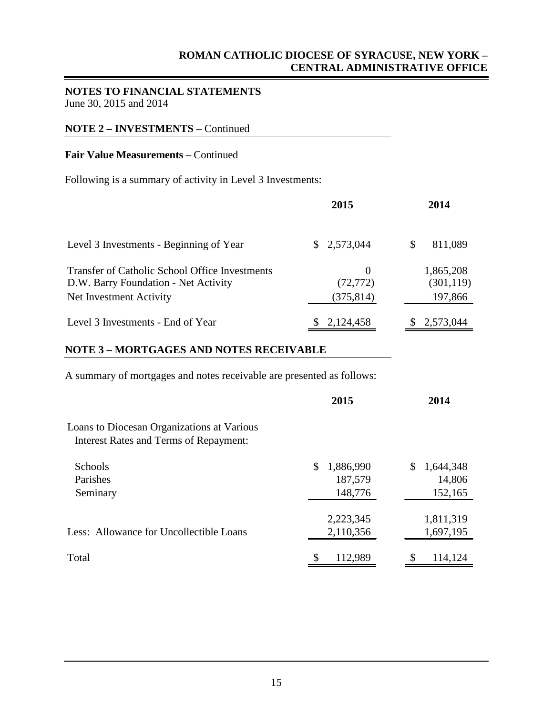## **NOTES TO FINANCIAL STATEMENTS**

June 30, 2015 and 2014

## **NOTE 2 – INVESTMENTS** – Continued

## **Fair Value Measurements** – Continued

Following is a summary of activity in Level 3 Investments:

|                                                                                                                          | 2015                                | 2014                               |
|--------------------------------------------------------------------------------------------------------------------------|-------------------------------------|------------------------------------|
| Level 3 Investments - Beginning of Year                                                                                  | \$2,573,044                         | 811,089<br>\$.                     |
| <b>Transfer of Catholic School Office Investments</b><br>D.W. Barry Foundation - Net Activity<br>Net Investment Activity | $\Omega$<br>(72, 772)<br>(375, 814) | 1,865,208<br>(301, 119)<br>197,866 |
| Level 3 Investments - End of Year                                                                                        | 2,124,458                           | 2,573,044                          |

## **NOTE 3 – MORTGAGES AND NOTES RECEIVABLE**

A summary of mortgages and notes receivable are presented as follows:

|                                                                                      | 2015           | 2014            |
|--------------------------------------------------------------------------------------|----------------|-----------------|
| Loans to Diocesan Organizations at Various<br>Interest Rates and Terms of Repayment: |                |                 |
| Schools                                                                              | 1,886,990<br>S | 1,644,348<br>\$ |
| Parishes                                                                             | 187,579        | 14,806          |
| Seminary                                                                             | 148,776        | 152,165         |
|                                                                                      | 2,223,345      | 1,811,319       |
| Less: Allowance for Uncollectible Loans                                              | 2,110,356      | 1,697,195       |
| Total                                                                                | \$<br>112,989  | \$<br>114,124   |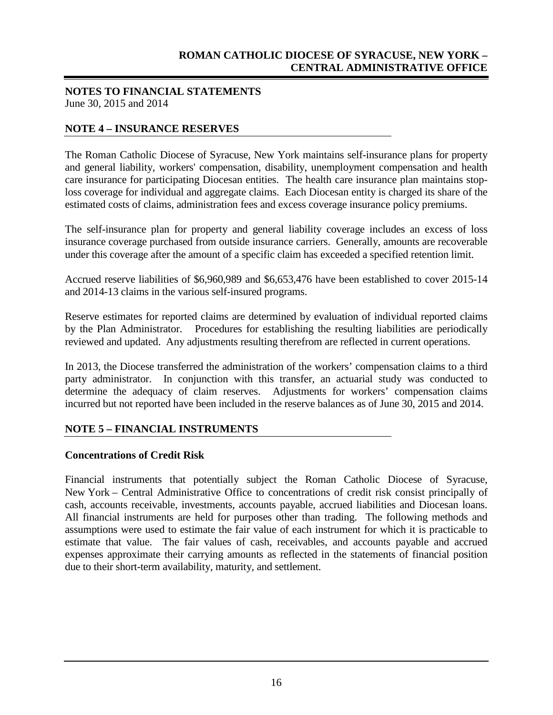#### **NOTES TO FINANCIAL STATEMENTS** June 30, 2015 and 2014

## **NOTE 4 – INSURANCE RESERVES**

The Roman Catholic Diocese of Syracuse, New York maintains self-insurance plans for property and general liability, workers' compensation, disability, unemployment compensation and health care insurance for participating Diocesan entities. The health care insurance plan maintains stoploss coverage for individual and aggregate claims. Each Diocesan entity is charged its share of the estimated costs of claims, administration fees and excess coverage insurance policy premiums.

The self-insurance plan for property and general liability coverage includes an excess of loss insurance coverage purchased from outside insurance carriers. Generally, amounts are recoverable under this coverage after the amount of a specific claim has exceeded a specified retention limit.

Accrued reserve liabilities of \$6,960,989 and \$6,653,476 have been established to cover 2015-14 and 2014-13 claims in the various self-insured programs.

Reserve estimates for reported claims are determined by evaluation of individual reported claims by the Plan Administrator. Procedures for establishing the resulting liabilities are periodically reviewed and updated. Any adjustments resulting therefrom are reflected in current operations.

In 2013, the Diocese transferred the administration of the workers' compensation claims to a third party administrator. In conjunction with this transfer, an actuarial study was conducted to determine the adequacy of claim reserves. Adjustments for workers' compensation claims incurred but not reported have been included in the reserve balances as of June 30, 2015 and 2014.

## **NOTE 5 – FINANCIAL INSTRUMENTS**

## **Concentrations of Credit Risk**

Financial instruments that potentially subject the Roman Catholic Diocese of Syracuse, New York – Central Administrative Office to concentrations of credit risk consist principally of cash, accounts receivable, investments, accounts payable, accrued liabilities and Diocesan loans. All financial instruments are held for purposes other than trading. The following methods and assumptions were used to estimate the fair value of each instrument for which it is practicable to estimate that value. The fair values of cash, receivables, and accounts payable and accrued expenses approximate their carrying amounts as reflected in the statements of financial position due to their short-term availability, maturity, and settlement.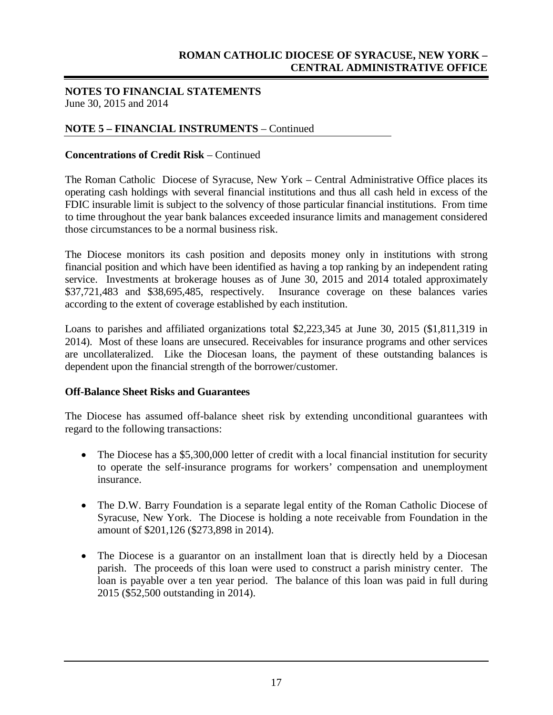#### **NOTES TO FINANCIAL STATEMENTS** June 30, 2015 and 2014

## **NOTE 5 – FINANCIAL INSTRUMENTS** – Continued

#### **Concentrations of Credit Risk** – Continued

The Roman Catholic Diocese of Syracuse, New York – Central Administrative Office places its operating cash holdings with several financial institutions and thus all cash held in excess of the FDIC insurable limit is subject to the solvency of those particular financial institutions. From time to time throughout the year bank balances exceeded insurance limits and management considered those circumstances to be a normal business risk.

The Diocese monitors its cash position and deposits money only in institutions with strong financial position and which have been identified as having a top ranking by an independent rating service. Investments at brokerage houses as of June 30, 2015 and 2014 totaled approximately \$37,721,483 and \$38,695,485, respectively. Insurance coverage on these balances varies according to the extent of coverage established by each institution.

Loans to parishes and affiliated organizations total \$2,223,345 at June 30, 2015 (\$1,811,319 in 2014). Most of these loans are unsecured. Receivables for insurance programs and other services are uncollateralized. Like the Diocesan loans, the payment of these outstanding balances is dependent upon the financial strength of the borrower/customer.

#### **Off-Balance Sheet Risks and Guarantees**

The Diocese has assumed off-balance sheet risk by extending unconditional guarantees with regard to the following transactions:

- The Diocese has a \$5,300,000 letter of credit with a local financial institution for security to operate the self-insurance programs for workers' compensation and unemployment insurance.
- The D.W. Barry Foundation is a separate legal entity of the Roman Catholic Diocese of Syracuse, New York. The Diocese is holding a note receivable from Foundation in the amount of \$201,126 (\$273,898 in 2014).
- The Diocese is a guarantor on an installment loan that is directly held by a Diocesan parish. The proceeds of this loan were used to construct a parish ministry center. The loan is payable over a ten year period. The balance of this loan was paid in full during 2015 (\$52,500 outstanding in 2014).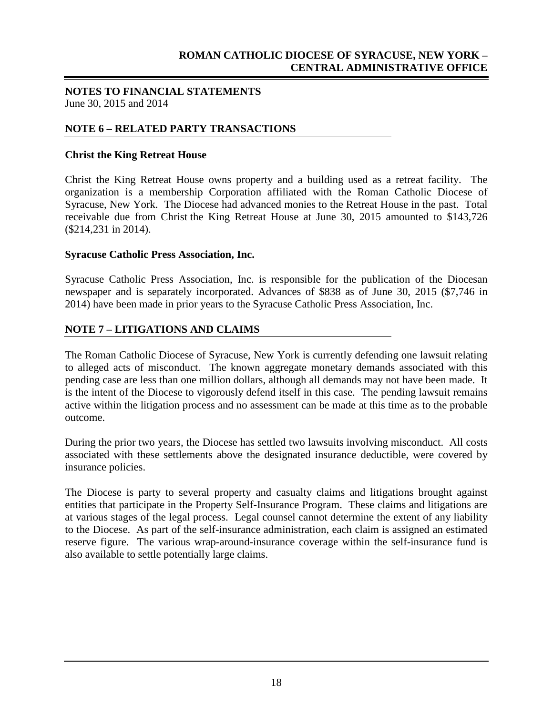#### **NOTES TO FINANCIAL STATEMENTS** June 30, 2015 and 2014

## **NOTE 6 – RELATED PARTY TRANSACTIONS**

#### **Christ the King Retreat House**

Christ the King Retreat House owns property and a building used as a retreat facility. The organization is a membership Corporation affiliated with the Roman Catholic Diocese of Syracuse, New York. The Diocese had advanced monies to the Retreat House in the past. Total receivable due from Christ the King Retreat House at June 30, 2015 amounted to \$143,726 (\$214,231 in 2014).

#### **Syracuse Catholic Press Association, Inc.**

Syracuse Catholic Press Association, Inc. is responsible for the publication of the Diocesan newspaper and is separately incorporated. Advances of \$838 as of June 30, 2015 (\$7,746 in 2014) have been made in prior years to the Syracuse Catholic Press Association, Inc.

#### **NOTE 7 – LITIGATIONS AND CLAIMS**

The Roman Catholic Diocese of Syracuse, New York is currently defending one lawsuit relating to alleged acts of misconduct. The known aggregate monetary demands associated with this pending case are less than one million dollars, although all demands may not have been made. It is the intent of the Diocese to vigorously defend itself in this case. The pending lawsuit remains active within the litigation process and no assessment can be made at this time as to the probable outcome.

During the prior two years, the Diocese has settled two lawsuits involving misconduct. All costs associated with these settlements above the designated insurance deductible, were covered by insurance policies.

The Diocese is party to several property and casualty claims and litigations brought against entities that participate in the Property Self-Insurance Program. These claims and litigations are at various stages of the legal process. Legal counsel cannot determine the extent of any liability to the Diocese. As part of the self-insurance administration, each claim is assigned an estimated reserve figure. The various wrap-around-insurance coverage within the self-insurance fund is also available to settle potentially large claims.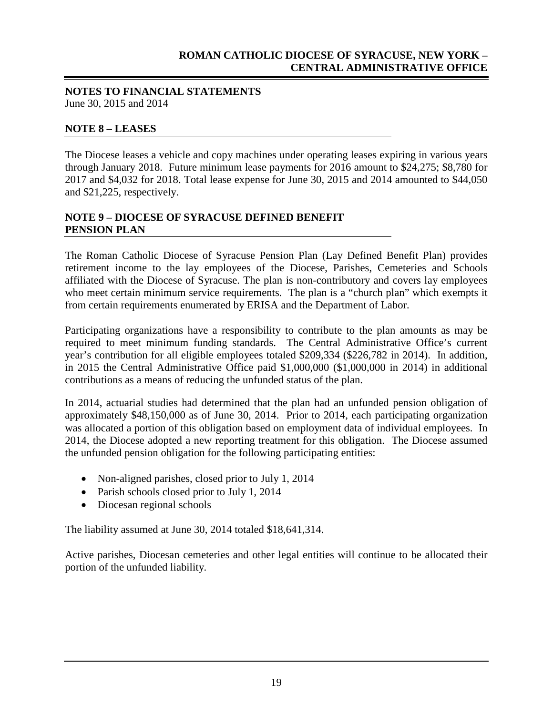#### **NOTES TO FINANCIAL STATEMENTS** June 30, 2015 and 2014

## **NOTE 8 – LEASES**

The Diocese leases a vehicle and copy machines under operating leases expiring in various years through January 2018. Future minimum lease payments for 2016 amount to \$24,275; \$8,780 for 2017 and \$4,032 for 2018. Total lease expense for June 30, 2015 and 2014 amounted to \$44,050 and \$21,225, respectively.

## **NOTE 9 – DIOCESE OF SYRACUSE DEFINED BENEFIT PENSION PLAN**

The Roman Catholic Diocese of Syracuse Pension Plan (Lay Defined Benefit Plan) provides retirement income to the lay employees of the Diocese, Parishes, Cemeteries and Schools affiliated with the Diocese of Syracuse. The plan is non-contributory and covers lay employees who meet certain minimum service requirements. The plan is a "church plan" which exempts it from certain requirements enumerated by ERISA and the Department of Labor.

Participating organizations have a responsibility to contribute to the plan amounts as may be required to meet minimum funding standards. The Central Administrative Office's current year's contribution for all eligible employees totaled \$209,334 (\$226,782 in 2014). In addition, in 2015 the Central Administrative Office paid \$1,000,000 (\$1,000,000 in 2014) in additional contributions as a means of reducing the unfunded status of the plan.

In 2014, actuarial studies had determined that the plan had an unfunded pension obligation of approximately \$48,150,000 as of June 30, 2014. Prior to 2014, each participating organization was allocated a portion of this obligation based on employment data of individual employees. In 2014, the Diocese adopted a new reporting treatment for this obligation. The Diocese assumed the unfunded pension obligation for the following participating entities:

- Non-aligned parishes, closed prior to July 1, 2014
- Parish schools closed prior to July 1, 2014
- Diocesan regional schools

The liability assumed at June 30, 2014 totaled \$18,641,314.

Active parishes, Diocesan cemeteries and other legal entities will continue to be allocated their portion of the unfunded liability.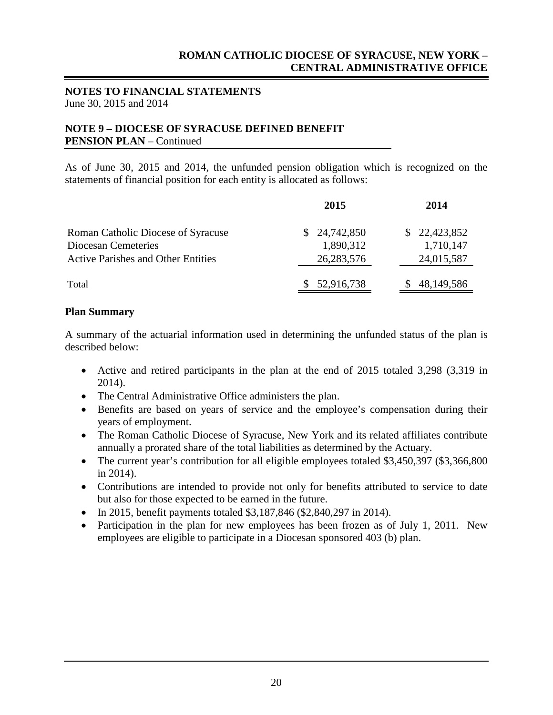## **NOTES TO FINANCIAL STATEMENTS** June 30, 2015 and 2014

## **NOTE 9 – DIOCESE OF SYRACUSE DEFINED BENEFIT PENSION PLAN** – Continued

As of June 30, 2015 and 2014, the unfunded pension obligation which is recognized on the statements of financial position for each entity is allocated as follows:

|                                                                                                        | 2015                                      | 2014                                    |
|--------------------------------------------------------------------------------------------------------|-------------------------------------------|-----------------------------------------|
| Roman Catholic Diocese of Syracuse<br>Diocesan Cemeteries<br><b>Active Parishes and Other Entities</b> | \$24,742,850<br>1,890,312<br>26, 283, 576 | \$22,423,852<br>1,710,147<br>24,015,587 |
| Total                                                                                                  | 52,916,738                                | 48, 149, 586                            |

## **Plan Summary**

A summary of the actuarial information used in determining the unfunded status of the plan is described below:

- Active and retired participants in the plan at the end of 2015 totaled 3,298 (3,319 in 2014).
- The Central Administrative Office administers the plan.
- Benefits are based on years of service and the employee's compensation during their years of employment.
- The Roman Catholic Diocese of Syracuse, New York and its related affiliates contribute annually a prorated share of the total liabilities as determined by the Actuary.
- The current year's contribution for all eligible employees totaled \$3,450,397 (\$3,366,800) in 2014).
- Contributions are intended to provide not only for benefits attributed to service to date but also for those expected to be earned in the future.
- In 2015, benefit payments totaled  $$3,187,846$  (\$2,840,297 in 2014).
- Participation in the plan for new employees has been frozen as of July 1, 2011. New employees are eligible to participate in a Diocesan sponsored 403 (b) plan.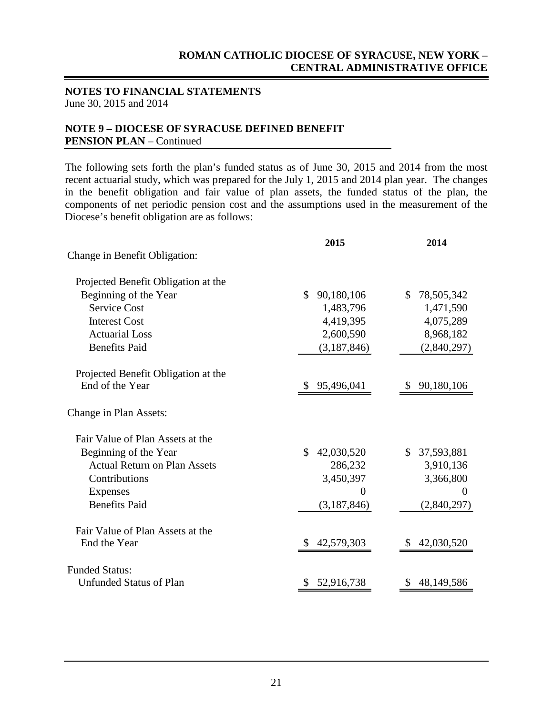#### **NOTES TO FINANCIAL STATEMENTS** June 30, 2015 and 2014

## **NOTE 9 – DIOCESE OF SYRACUSE DEFINED BENEFIT PENSION PLAN** – Continued

The following sets forth the plan's funded status as of June 30, 2015 and 2014 from the most recent actuarial study, which was prepared for the July 1, 2015 and 2014 plan year. The changes in the benefit obligation and fair value of plan assets, the funded status of the plan, the components of net periodic pension cost and the assumptions used in the measurement of the Diocese's benefit obligation are as follows:

|                                     | 2015                       | 2014             |
|-------------------------------------|----------------------------|------------------|
| Change in Benefit Obligation:       |                            |                  |
| Projected Benefit Obligation at the |                            |                  |
| Beginning of the Year               | \$<br>90,180,106           | 78,505,342<br>\$ |
| <b>Service Cost</b>                 | 1,483,796                  | 1,471,590        |
| <b>Interest Cost</b>                | 4,419,395                  | 4,075,289        |
| <b>Actuarial Loss</b>               | 2,600,590                  | 8,968,182        |
| <b>Benefits Paid</b>                | (3,187,846)                | (2,840,297)      |
| Projected Benefit Obligation at the |                            |                  |
| End of the Year                     | 95,496,041<br><sup>2</sup> | 90,180,106       |
| Change in Plan Assets:              |                            |                  |
| Fair Value of Plan Assets at the    |                            |                  |
| Beginning of the Year               | \$<br>42,030,520           | \$ 37,593,881    |
| <b>Actual Return on Plan Assets</b> | 286,232                    | 3,910,136        |
| Contributions                       | 3,450,397                  | 3,366,800        |
| <b>Expenses</b>                     | $\Omega$                   |                  |
| <b>Benefits Paid</b>                | (3,187,846)                | (2,840,297)      |
| Fair Value of Plan Assets at the    |                            |                  |
| End the Year                        | 42,579,303                 | 42,030,520       |
| <b>Funded Status:</b>               |                            |                  |
| <b>Unfunded Status of Plan</b>      | 52,916,738                 | 48,149,586       |
|                                     |                            |                  |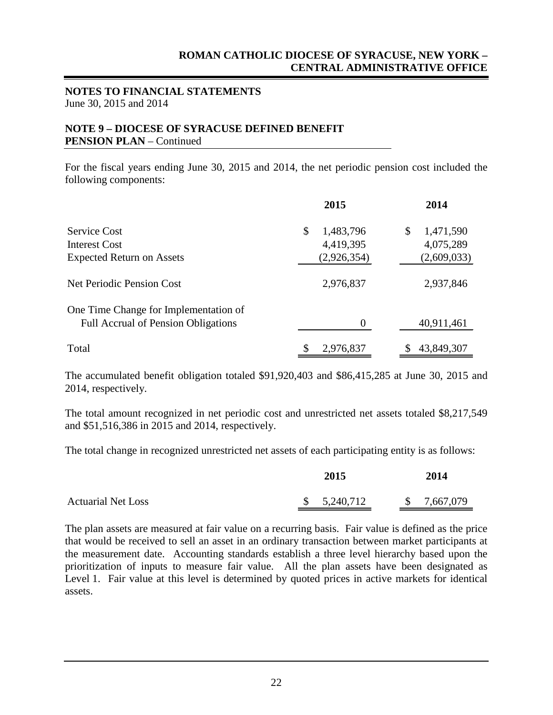#### **NOTES TO FINANCIAL STATEMENTS** June 30, 2015 and 2014

## **NOTE 9 – DIOCESE OF SYRACUSE DEFINED BENEFIT PENSION PLAN** – Continued

For the fiscal years ending June 30, 2015 and 2014, the net periodic pension cost included the following components:

|                                            | 2015            | 2014            |
|--------------------------------------------|-----------------|-----------------|
| <b>Service Cost</b>                        | \$<br>1,483,796 | \$<br>1,471,590 |
| Interest Cost                              | 4,419,395       | 4,075,289       |
| <b>Expected Return on Assets</b>           | (2,926,354)     | (2,609,033)     |
| Net Periodic Pension Cost                  | 2,976,837       | 2,937,846       |
| One Time Change for Implementation of      |                 |                 |
| <b>Full Accrual of Pension Obligations</b> | 0               | 40,911,461      |
| Total                                      | 2,976,837       | 43,849,307      |

The accumulated benefit obligation totaled \$91,920,403 and \$86,415,285 at June 30, 2015 and 2014, respectively.

The total amount recognized in net periodic cost and unrestricted net assets totaled \$8,217,549 and \$51,516,386 in 2015 and 2014, respectively.

The total change in recognized unrestricted net assets of each participating entity is as follows:

|                           | 2015        | 2014        |
|---------------------------|-------------|-------------|
| <b>Actuarial Net Loss</b> | \$5,240,712 | \$7,667,079 |

The plan assets are measured at fair value on a recurring basis. Fair value is defined as the price that would be received to sell an asset in an ordinary transaction between market participants at the measurement date. Accounting standards establish a three level hierarchy based upon the prioritization of inputs to measure fair value. All the plan assets have been designated as Level 1. Fair value at this level is determined by quoted prices in active markets for identical assets.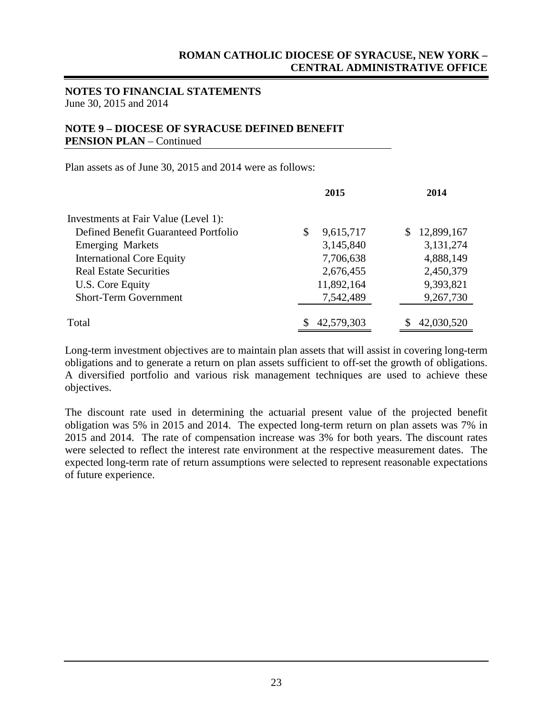#### **NOTES TO FINANCIAL STATEMENTS** June 30, 2015 and 2014

## **NOTE 9 – DIOCESE OF SYRACUSE DEFINED BENEFIT PENSION PLAN** – Continued

Plan assets as of June 30, 2015 and 2014 were as follows:

|                                      | 2015            | 2014             |
|--------------------------------------|-----------------|------------------|
| Investments at Fair Value (Level 1): |                 |                  |
| Defined Benefit Guaranteed Portfolio | \$<br>9,615,717 | 12,899,167<br>S. |
| <b>Emerging Markets</b>              | 3,145,840       | 3,131,274        |
| <b>International Core Equity</b>     | 7,706,638       | 4,888,149        |
| <b>Real Estate Securities</b>        | 2,676,455       | 2,450,379        |
| U.S. Core Equity                     | 11,892,164      | 9,393,821        |
| <b>Short-Term Government</b>         | 7,542,489       | 9,267,730        |
| Total                                | 42,579,303      | 42,030,520       |

Long-term investment objectives are to maintain plan assets that will assist in covering long-term obligations and to generate a return on plan assets sufficient to off-set the growth of obligations. A diversified portfolio and various risk management techniques are used to achieve these objectives.

The discount rate used in determining the actuarial present value of the projected benefit obligation was 5% in 2015 and 2014. The expected long-term return on plan assets was 7% in 2015 and 2014. The rate of compensation increase was 3% for both years. The discount rates were selected to reflect the interest rate environment at the respective measurement dates. The expected long-term rate of return assumptions were selected to represent reasonable expectations of future experience.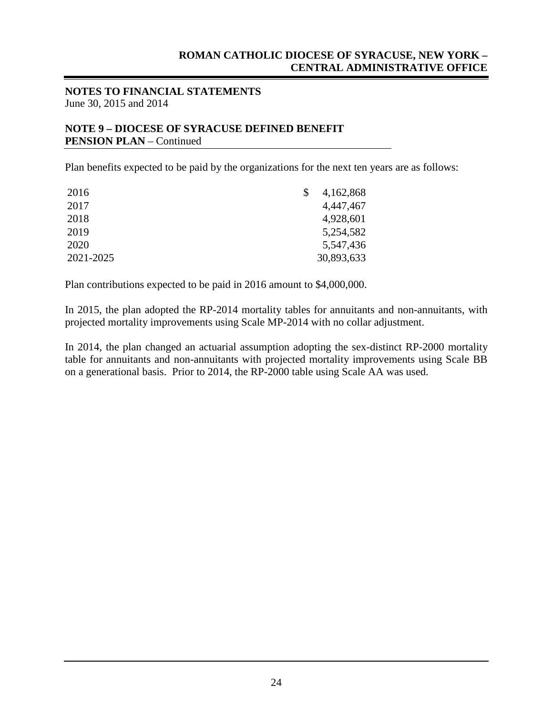#### **NOTES TO FINANCIAL STATEMENTS** June 30, 2015 and 2014

## **NOTE 9 – DIOCESE OF SYRACUSE DEFINED BENEFIT PENSION PLAN** – Continued

Plan benefits expected to be paid by the organizations for the next ten years are as follows:

| 2016      | 4,162,868  |
|-----------|------------|
| 2017      | 4,447,467  |
| 2018      | 4,928,601  |
| 2019      | 5,254,582  |
| 2020      | 5,547,436  |
| 2021-2025 | 30,893,633 |

Plan contributions expected to be paid in 2016 amount to \$4,000,000.

In 2015, the plan adopted the RP-2014 mortality tables for annuitants and non-annuitants, with projected mortality improvements using Scale MP-2014 with no collar adjustment.

In 2014, the plan changed an actuarial assumption adopting the sex-distinct RP-2000 mortality table for annuitants and non-annuitants with projected mortality improvements using Scale BB on a generational basis. Prior to 2014, the RP-2000 table using Scale AA was used.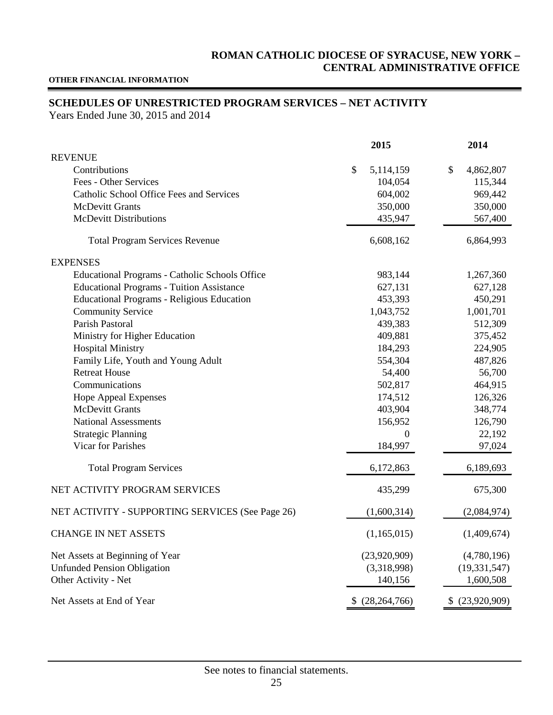#### **OTHER FINANCIAL INFORMATION**

## **SCHEDULES OF UNRESTRICTED PROGRAM SERVICES – NET ACTIVITY**

|                                                   | 2015              | 2014            |
|---------------------------------------------------|-------------------|-----------------|
| <b>REVENUE</b>                                    |                   |                 |
| Contributions                                     | \$<br>5,114,159   | \$<br>4,862,807 |
| Fees - Other Services                             | 104,054           | 115,344         |
| Catholic School Office Fees and Services          | 604,002           | 969,442         |
| <b>McDevitt Grants</b>                            | 350,000           | 350,000         |
| <b>McDevitt Distributions</b>                     | 435,947           | 567,400         |
| <b>Total Program Services Revenue</b>             | 6,608,162         | 6,864,993       |
| <b>EXPENSES</b>                                   |                   |                 |
| Educational Programs - Catholic Schools Office    | 983,144           | 1,267,360       |
| <b>Educational Programs - Tuition Assistance</b>  | 627,131           | 627,128         |
| <b>Educational Programs - Religious Education</b> | 453,393           | 450,291         |
| <b>Community Service</b>                          | 1,043,752         | 1,001,701       |
| Parish Pastoral                                   | 439,383           | 512,309         |
| Ministry for Higher Education                     | 409,881           | 375,452         |
| <b>Hospital Ministry</b>                          | 184,293           | 224,905         |
| Family Life, Youth and Young Adult                | 554,304           | 487,826         |
| <b>Retreat House</b>                              | 54,400            | 56,700          |
| Communications                                    | 502,817           | 464,915         |
| <b>Hope Appeal Expenses</b>                       | 174,512           | 126,326         |
| <b>McDevitt Grants</b>                            | 403,904           | 348,774         |
| <b>National Assessments</b>                       | 156,952           | 126,790         |
| <b>Strategic Planning</b>                         | $\Omega$          | 22,192          |
| Vicar for Parishes                                | 184,997           | 97,024          |
| <b>Total Program Services</b>                     | 6,172,863         | 6,189,693       |
| NET ACTIVITY PROGRAM SERVICES                     | 435,299           | 675,300         |
| NET ACTIVITY - SUPPORTING SERVICES (See Page 26)  | (1,600,314)       | (2,084,974)     |
| <b>CHANGE IN NET ASSETS</b>                       | (1,165,015)       | (1,409,674)     |
| Net Assets at Beginning of Year                   | (23,920,909)      | (4,780,196)     |
| <b>Unfunded Pension Obligation</b>                | (3,318,998)       | (19, 331, 547)  |
| Other Activity - Net                              | 140,156           | 1,600,508       |
| Net Assets at End of Year                         | \$ (28, 264, 766) | \$ (23,920,909) |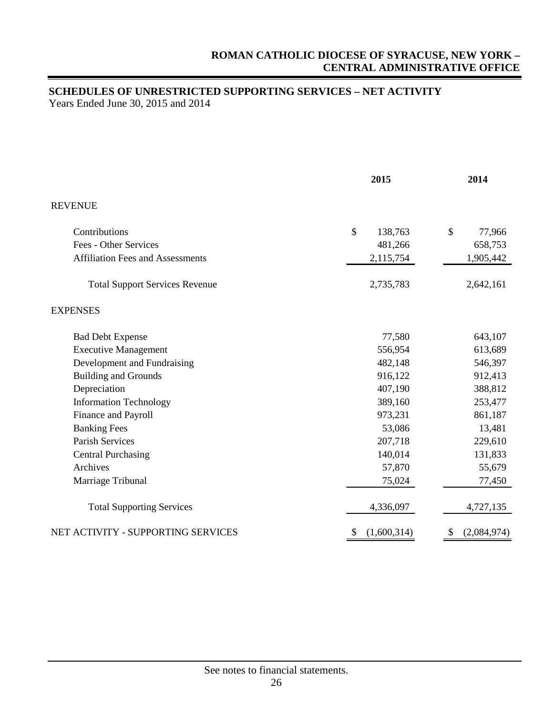## **SCHEDULES OF UNRESTRICTED SUPPORTING SERVICES – NET ACTIVITY**

|                                         | 2015              | 2014              |
|-----------------------------------------|-------------------|-------------------|
| <b>REVENUE</b>                          |                   |                   |
| Contributions                           | \$<br>138,763     | \$<br>77,966      |
| Fees - Other Services                   | 481,266           | 658,753           |
| <b>Affiliation Fees and Assessments</b> | 2,115,754         | 1,905,442         |
| <b>Total Support Services Revenue</b>   | 2,735,783         | 2,642,161         |
| <b>EXPENSES</b>                         |                   |                   |
| <b>Bad Debt Expense</b>                 | 77,580            | 643,107           |
| <b>Executive Management</b>             | 556,954           | 613,689           |
| Development and Fundraising             | 482,148           | 546,397           |
| <b>Building and Grounds</b>             | 916,122           | 912,413           |
| Depreciation                            | 407,190           | 388,812           |
| <b>Information Technology</b>           | 389,160           | 253,477           |
| Finance and Payroll                     | 973,231           | 861,187           |
| <b>Banking Fees</b>                     | 53,086            | 13,481            |
| <b>Parish Services</b>                  | 207,718           | 229,610           |
| <b>Central Purchasing</b>               | 140,014           | 131,833           |
| Archives                                | 57,870            | 55,679            |
| Marriage Tribunal                       | 75,024            | 77,450            |
| <b>Total Supporting Services</b>        | 4,336,097         | 4,727,135         |
| NET ACTIVITY - SUPPORTING SERVICES      | (1,600,314)<br>\$ | (2,084,974)<br>\$ |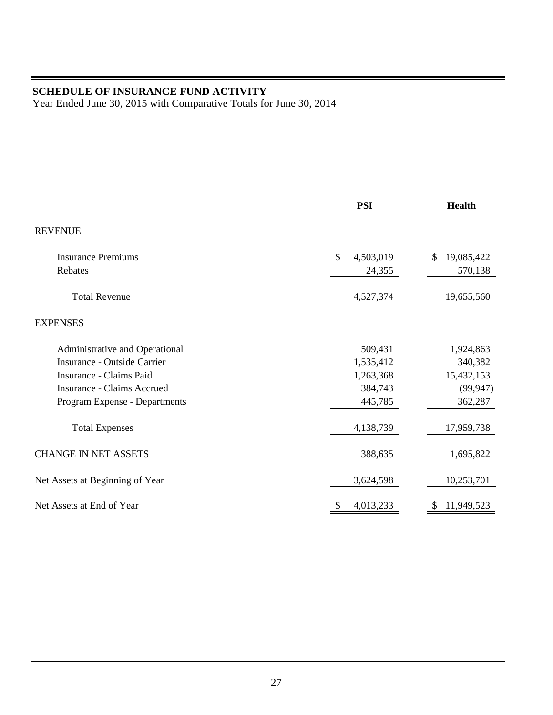## **SCHEDULE OF INSURANCE FUND ACTIVITY**

Year Ended June 30, 2015 with Comparative Totals for June 30, 2014

|                                   | <b>PSI</b>      | <b>Health</b>    |
|-----------------------------------|-----------------|------------------|
| <b>REVENUE</b>                    |                 |                  |
| <b>Insurance Premiums</b>         | \$<br>4,503,019 | 19,085,422<br>\$ |
| Rebates                           | 24,355          | 570,138          |
| <b>Total Revenue</b>              | 4,527,374       | 19,655,560       |
| <b>EXPENSES</b>                   |                 |                  |
| Administrative and Operational    | 509,431         | 1,924,863        |
| Insurance - Outside Carrier       | 1,535,412       | 340,382          |
| Insurance - Claims Paid           | 1,263,368       | 15,432,153       |
| <b>Insurance - Claims Accrued</b> | 384,743         | (99, 947)        |
| Program Expense - Departments     | 445,785         | 362,287          |
| <b>Total Expenses</b>             | 4,138,739       | 17,959,738       |
| <b>CHANGE IN NET ASSETS</b>       | 388,635         | 1,695,822        |
| Net Assets at Beginning of Year   | 3,624,598       | 10,253,701       |
| Net Assets at End of Year         | 4,013,233       | 11,949,523       |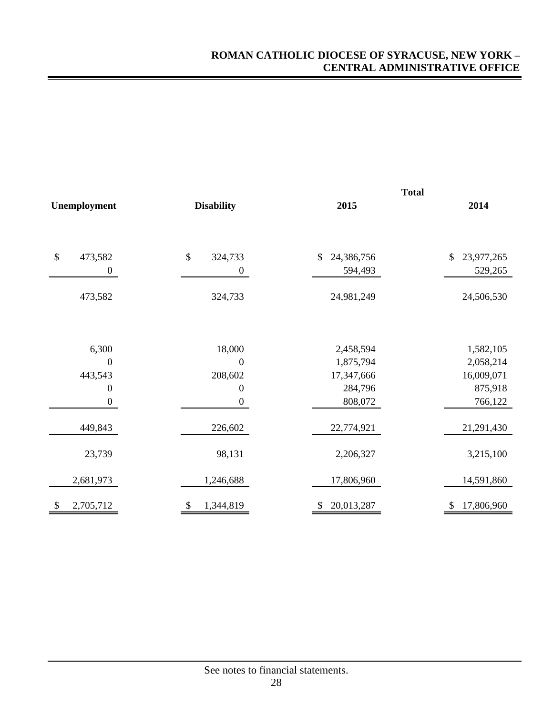|                                                          |                                                 |                                        | <b>Total</b>                     |  |  |
|----------------------------------------------------------|-------------------------------------------------|----------------------------------------|----------------------------------|--|--|
| Unemployment                                             | <b>Disability</b>                               | 2015                                   | 2014                             |  |  |
| $\boldsymbol{\mathsf{S}}$<br>473,582<br>$\boldsymbol{0}$ | $\$\,$<br>324,733<br>$\boldsymbol{0}$           | $\mathcal{S}$<br>24,386,756<br>594,493 | \$<br>23,977,265<br>529,265      |  |  |
| 473,582                                                  | 324,733                                         | 24,981,249                             | 24,506,530                       |  |  |
| 6,300<br>$\mathbf{0}$                                    | 18,000<br>$\boldsymbol{0}$                      | 2,458,594<br>1,875,794                 | 1,582,105<br>2,058,214           |  |  |
| 443,543<br>$\boldsymbol{0}$<br>$\boldsymbol{0}$          | 208,602<br>$\boldsymbol{0}$<br>$\boldsymbol{0}$ | 17,347,666<br>284,796<br>808,072       | 16,009,071<br>875,918<br>766,122 |  |  |
| 449,843                                                  | 226,602                                         | 22,774,921                             | 21,291,430                       |  |  |
| 23,739                                                   | 98,131                                          | 2,206,327                              | 3,215,100                        |  |  |
| 2,681,973                                                | 1,246,688                                       | 17,806,960                             | 14,591,860                       |  |  |
| 2,705,712<br>\$                                          | 1,344,819<br>\$                                 | 20,013,287                             | 17,806,960<br>\$                 |  |  |